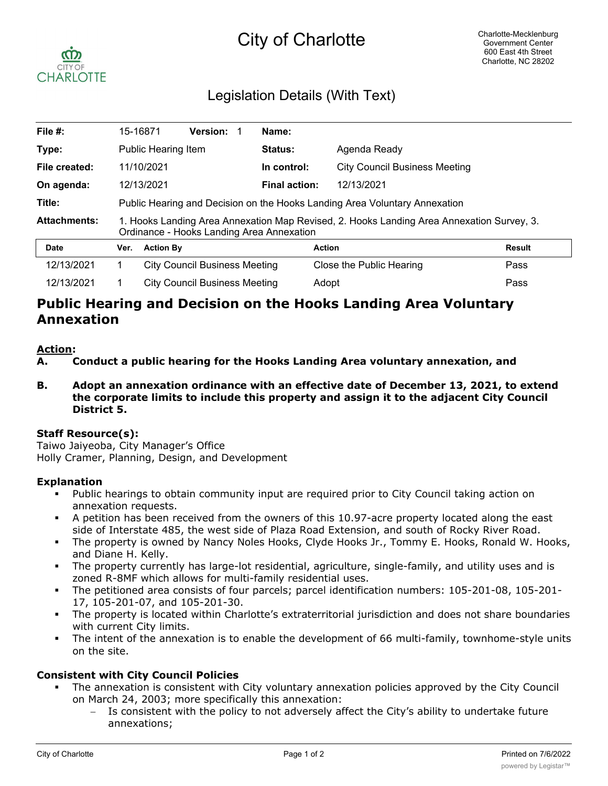# City of Charlotte



## Legislation Details (With Text)

| File #:             |                                                                                                                                        | 15-16871                                                                   | <b>Version:</b> |  | Name:                |                                      |               |  |
|---------------------|----------------------------------------------------------------------------------------------------------------------------------------|----------------------------------------------------------------------------|-----------------|--|----------------------|--------------------------------------|---------------|--|
| Type:               |                                                                                                                                        | Public Hearing Item                                                        |                 |  | Status:              | Agenda Ready                         |               |  |
| File created:       |                                                                                                                                        | 11/10/2021                                                                 |                 |  | In control:          | <b>City Council Business Meeting</b> |               |  |
| On agenda:          |                                                                                                                                        | 12/13/2021                                                                 |                 |  | <b>Final action:</b> | 12/13/2021                           |               |  |
| Title:              |                                                                                                                                        | Public Hearing and Decision on the Hooks Landing Area Voluntary Annexation |                 |  |                      |                                      |               |  |
| <b>Attachments:</b> | 1. Hooks Landing Area Annexation Map Revised, 2. Hooks Landing Area Annexation Survey, 3.<br>Ordinance - Hooks Landing Area Annexation |                                                                            |                 |  |                      |                                      |               |  |
| Date                | Ver.                                                                                                                                   | <b>Action By</b>                                                           |                 |  |                      | <b>Action</b>                        | <b>Result</b> |  |
| 12/13/2021          |                                                                                                                                        | <b>City Council Business Meeting</b>                                       |                 |  |                      | Close the Public Hearing             | Pass          |  |
| 12/13/2021          |                                                                                                                                        | <b>City Council Business Meeting</b>                                       |                 |  |                      | Adopt                                | Pass          |  |

## **Public Hearing and Decision on the Hooks Landing Area Voluntary Annexation**

#### **Action:**

**A. Conduct a public hearing for the Hooks Landing Area voluntary annexation, and**

**B. Adopt an annexation ordinance with an effective date of December 13, 2021, to extend the corporate limits to include this property and assign it to the adjacent City Council District 5.**

#### **Staff Resource(s):**

Taiwo Jaiyeoba, City Manager's Office Holly Cramer, Planning, Design, and Development

#### **Explanation**

- Public hearings to obtain community input are required prior to City Council taking action on annexation requests.
- § A petition has been received from the owners of this 10.97-acre property located along the east side of Interstate 485, the west side of Plaza Road Extension, and south of Rocky River Road.
- § The property is owned by Nancy Noles Hooks, Clyde Hooks Jr., Tommy E. Hooks, Ronald W. Hooks, and Diane H. Kelly.
- § The property currently has large-lot residential, agriculture, single-family, and utility uses and is zoned R-8MF which allows for multi-family residential uses.
- The petitioned area consists of four parcels; parcel identification numbers: 105-201-08, 105-201-17, 105-201-07, and 105-201-30.
- The property is located within Charlotte's extraterritorial jurisdiction and does not share boundaries with current City limits.
- The intent of the annexation is to enable the development of 66 multi-family, townhome-style units on the site.

#### **Consistent with City Council Policies**

- The annexation is consistent with City voluntary annexation policies approved by the City Council on March 24, 2003; more specifically this annexation:
	- Is consistent with the policy to not adversely affect the City's ability to undertake future annexations;